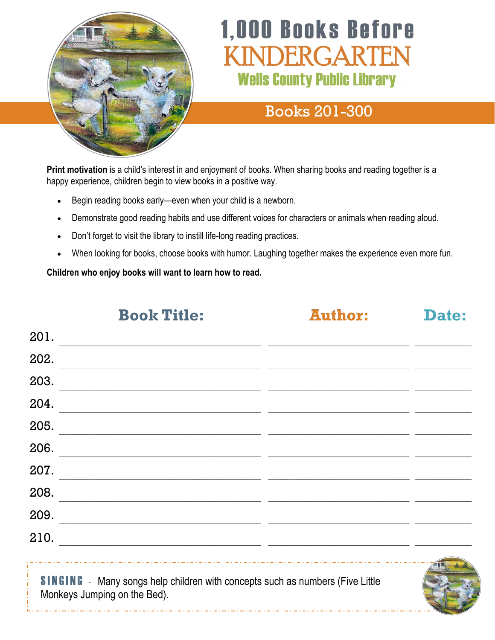

# **1,000 Books Before NDERGARTE Wells County Public Library**

## Books 201-300

**Print motivation** is a child's interest in and enjoyment of books. When sharing books and reading together is a happy experience, children begin to view books in a positive way.

- Begin reading books early—even when your child is a newborn.
- Demonstrate good reading habits and use different voices for characters or animals when reading aloud.
- Don't forget to visit the library to instill life-long reading practices.
- When looking for books, choose books with humor. Laughing together makes the experience even more fun.

**Children who enjoy books will want to learn how to read.**

**Book Title: Author: Date:**  $201.$ 202. 203. \_\_\_\_\_\_\_\_\_\_\_\_\_\_\_\_\_\_\_\_\_\_\_\_\_\_\_\_\_\_\_\_\_\_\_\_\_\_\_\_\_\_\_\_\_\_\_\_\_\_ \_\_\_\_\_\_\_\_\_\_\_\_\_\_\_\_\_\_\_\_\_\_\_\_\_\_\_\_\_\_\_\_\_\_\_ \_\_\_\_\_\_\_\_\_\_\_\_\_\_  $204.$  $205.$ 206. \_\_\_\_\_\_\_\_\_\_\_\_\_\_\_\_\_\_\_\_\_\_\_\_\_\_\_\_\_\_\_\_\_\_\_\_\_\_\_\_\_\_\_\_\_\_\_\_\_\_ \_\_\_\_\_\_\_\_\_\_\_\_\_\_\_\_\_\_\_\_\_\_\_\_\_\_\_\_\_\_\_\_\_\_\_ \_\_\_\_\_\_\_\_\_\_\_\_\_\_ 207. \_\_\_\_\_\_\_\_\_\_\_\_\_\_\_\_\_\_\_\_\_\_\_\_\_\_\_\_\_\_\_\_\_\_\_\_\_\_\_\_\_\_\_\_\_\_\_\_\_\_ \_\_\_\_\_\_\_\_\_\_\_\_\_\_\_\_\_\_\_\_\_\_\_\_\_\_\_\_\_\_\_\_\_\_\_ \_\_\_\_\_\_\_\_\_\_\_\_\_\_ 208.  $\mathcal{L}_\mathcal{L} = \{ \mathcal{L}_\mathcal{L} = \{ \mathcal{L}_\mathcal{L} = \{ \mathcal{L}_\mathcal{L} = \{ \mathcal{L}_\mathcal{L} = \{ \mathcal{L}_\mathcal{L} = \{ \mathcal{L}_\mathcal{L} = \{ \mathcal{L}_\mathcal{L} = \{ \mathcal{L}_\mathcal{L} = \{ \mathcal{L}_\mathcal{L} = \{ \mathcal{L}_\mathcal{L} = \{ \mathcal{L}_\mathcal{L} = \{ \mathcal{L}_\mathcal{L} = \{ \mathcal{L}_\mathcal{L} = \{ \mathcal{L}_\mathcal{$  $209.$  $210.$ **SINGING** - Many songs help children with concepts such as numbers (Five Little Monkeys Jumping on the Bed).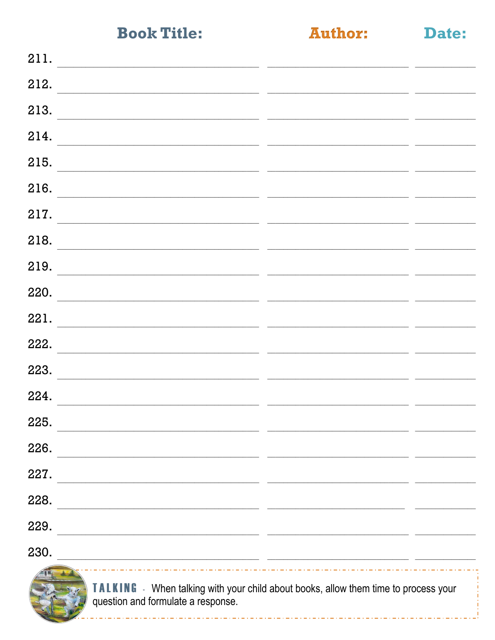**Author:** 

Date:

| 211.<br><u> 1989 - Andrea Barbara, amerikan persoana persoana persoana persoana persoana persoana persoana persoana per</u>  |                                                                                                                                                                                                                                      |                               |
|------------------------------------------------------------------------------------------------------------------------------|--------------------------------------------------------------------------------------------------------------------------------------------------------------------------------------------------------------------------------------|-------------------------------|
| 212.<br><u> 1980 - Johann Stein, mars an deutscher Stein (d. 1980)</u>                                                       |                                                                                                                                                                                                                                      |                               |
| 213.<br><u> 1980 - Jan Barbara, margaret eta biztanleria (h. 1980).</u>                                                      | <u> The Common State State State State State State State State State State State State State State State State State State State State State State State State State State State State State State State State State State State</u> |                               |
| 214.<br><u> 1989 - Jacques Maria de Santa Arabia (m. 1989).</u>                                                              |                                                                                                                                                                                                                                      |                               |
| 215.<br><u> 1989 - Andrea Barbara, amerikan personal di sebagai personal di sebagai personal di sebagai personal di seba</u> |                                                                                                                                                                                                                                      |                               |
| 216.                                                                                                                         |                                                                                                                                                                                                                                      | the company of the company of |
| 217.                                                                                                                         |                                                                                                                                                                                                                                      |                               |
| 218.<br><u> 1989 - Jan James James Sandar (b. 1989)</u>                                                                      |                                                                                                                                                                                                                                      |                               |
| 219.<br><u> 2000 - Andrea San Andrea San Andrea San Andrea San Andrea San Andrea San Andrea San Andrea San Andrea San An</u> |                                                                                                                                                                                                                                      |                               |
| $\begin{array}{c c} \hline \text{220.} & \begin{array}{c} \text{220.} \end{array} \\ \hline \end{array} \end{array}$         |                                                                                                                                                                                                                                      |                               |
| 221.<br>the contract of the contract of the contract of the contract of the contract of                                      |                                                                                                                                                                                                                                      |                               |
| 222.<br><u> 2003 - Andrea San Andrea Andrea Andrea Andrea Andrea Andrea Andrea Andrea Andrea Andrea Andrea Andrea Andrea</u> |                                                                                                                                                                                                                                      |                               |
| 223.                                                                                                                         |                                                                                                                                                                                                                                      |                               |
| 224.<br><u> 1989 - Jan James James James James James James James James James James James James James James James James J</u> |                                                                                                                                                                                                                                      |                               |
| 225.                                                                                                                         |                                                                                                                                                                                                                                      |                               |
| 226.                                                                                                                         |                                                                                                                                                                                                                                      |                               |
| 227.                                                                                                                         |                                                                                                                                                                                                                                      |                               |
| 228.                                                                                                                         |                                                                                                                                                                                                                                      |                               |
| 229.                                                                                                                         |                                                                                                                                                                                                                                      |                               |
| 230.                                                                                                                         |                                                                                                                                                                                                                                      |                               |
| $\sqrt{11}$                                                                                                                  |                                                                                                                                                                                                                                      |                               |



TALKING - When talking with your child about books, allow them time to process your question and formulate a response.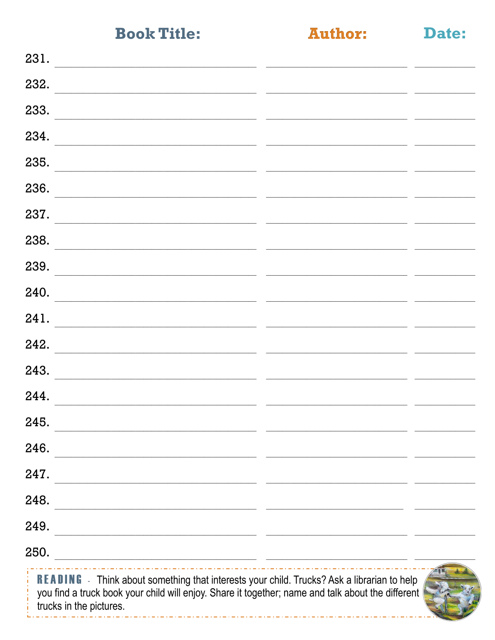**Author:** 

Date:

| 231.                                                                                                                                                                                                                              |  |
|-----------------------------------------------------------------------------------------------------------------------------------------------------------------------------------------------------------------------------------|--|
| 232.                                                                                                                                                                                                                              |  |
| 233.                                                                                                                                                                                                                              |  |
| 234.                                                                                                                                                                                                                              |  |
| 235.                                                                                                                                                                                                                              |  |
| 236.                                                                                                                                                                                                                              |  |
| 237.                                                                                                                                                                                                                              |  |
| 238.                                                                                                                                                                                                                              |  |
| 239.                                                                                                                                                                                                                              |  |
| 240.                                                                                                                                                                                                                              |  |
| 241.                                                                                                                                                                                                                              |  |
| 242.                                                                                                                                                                                                                              |  |
| 243.                                                                                                                                                                                                                              |  |
| 244.                                                                                                                                                                                                                              |  |
| 245.                                                                                                                                                                                                                              |  |
| 246.<br>the control of the control of the control of the control of the control of the control of                                                                                                                                 |  |
| 247.                                                                                                                                                                                                                              |  |
| 248.                                                                                                                                                                                                                              |  |
| 249.<br><u> 1980 - Paris Alexandria, prima esperanto-prima esperanto-prima esperanto-prima esperanto-prima esperanto-pri</u>                                                                                                      |  |
| 250.<br><u> 1989 - Johann John Stone, mars and de format de la propinsion de la propinsion de la propinsion de la propinsi</u>                                                                                                    |  |
| <b>READING</b> - Think about something that interests your child. Trucks? Ask a librarian to help<br>you find a truck book your child will enjoy. Share it together; name and talk about the different<br>trucks in the pictures. |  |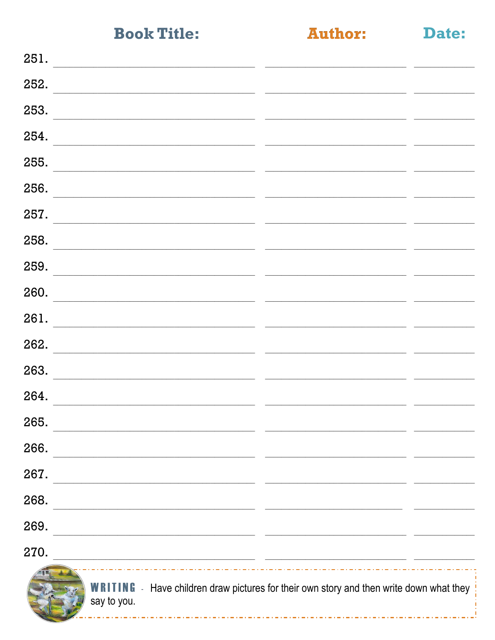**Author:** 

Date:

| 251.                                                                                              |                                                                                 |  |
|---------------------------------------------------------------------------------------------------|---------------------------------------------------------------------------------|--|
| 252.                                                                                              |                                                                                 |  |
| 253.                                                                                              |                                                                                 |  |
| 254.                                                                                              |                                                                                 |  |
| 255.                                                                                              |                                                                                 |  |
| 256.<br>the control of the control of the control of the control of the control of the control of |                                                                                 |  |
| 257.                                                                                              |                                                                                 |  |
| 258.                                                                                              |                                                                                 |  |
| 259.                                                                                              |                                                                                 |  |
| 260.                                                                                              |                                                                                 |  |
| 261.                                                                                              |                                                                                 |  |
| 262.                                                                                              |                                                                                 |  |
| 263.                                                                                              |                                                                                 |  |
| 264.                                                                                              | $\sim$                                                                          |  |
| 265.                                                                                              |                                                                                 |  |
| 266.                                                                                              |                                                                                 |  |
| 267.                                                                                              |                                                                                 |  |
| 268.                                                                                              |                                                                                 |  |
| 269.                                                                                              |                                                                                 |  |
| 270.<br><u> 1989 - Johann Stein, mars and de Brandenburg (b. 1989)</u>                            |                                                                                 |  |
| WRITING<br>say to you.                                                                            | - Have children draw pictures for their own story and then write down what they |  |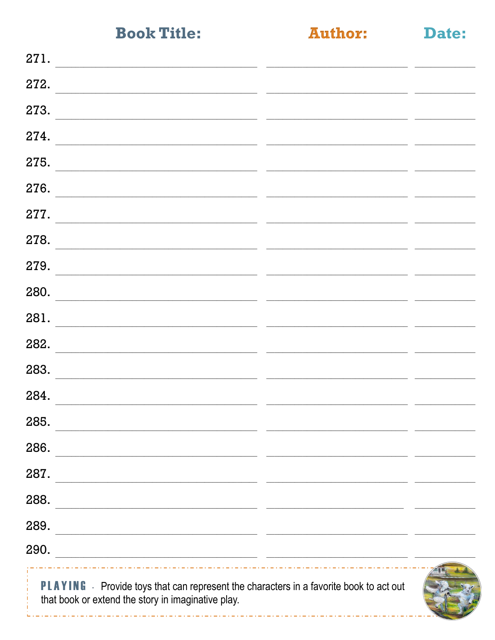\_ . \_ . \_ . \_ . \_ . \_ . \_ . \_ . \_ .

**Author:** 

Date:

| 271.                                                                                                                                                |  |
|-----------------------------------------------------------------------------------------------------------------------------------------------------|--|
| 272.                                                                                                                                                |  |
| 273.                                                                                                                                                |  |
| 274.                                                                                                                                                |  |
| 275.<br><u> 1989 - Johann John Stone, mension berkenaar (h. 1989).</u>                                                                              |  |
| 276.                                                                                                                                                |  |
| 277.                                                                                                                                                |  |
| 278.<br><u> 1989 - Johann John Stone, markin film yn y brening yn y brening yn y brening yn y brening yn y brening y breni</u>                      |  |
| 279.                                                                                                                                                |  |
| 280.                                                                                                                                                |  |
| 281.<br><u> 1989 - Johann Stoff, fransk politik (f. 1989)</u>                                                                                       |  |
| 282.                                                                                                                                                |  |
| 283.                                                                                                                                                |  |
| 284.<br><u> 1989 - Johann Harry Harry Harry Harry Harry Harry Harry Harry Harry Harry Harry Harry Harry Harry Harry Harry</u>                       |  |
| 285.                                                                                                                                                |  |
| 286.                                                                                                                                                |  |
| 287.                                                                                                                                                |  |
| 288.<br><u> 1989 - Johann Harry Harry Harry Harry Harry Harry Harry Harry Harry Harry Harry Harry Harry Harry Harry Harry</u>                       |  |
| 289.<br><u> 1989 - Johann John Stone, markin film yn y brening yn y brening yn y brening yn y brening yn y brening yn y b</u>                       |  |
| 290.<br><u> 2000 - Andrea State Barbara, amerikan personal di personal dengan personal di personal dengan personal di pe</u>                        |  |
| <b>PLAYING</b> - Provide toys that can represent the characters in a favorite book to act out<br>that book or extend the story in imaginative play. |  |